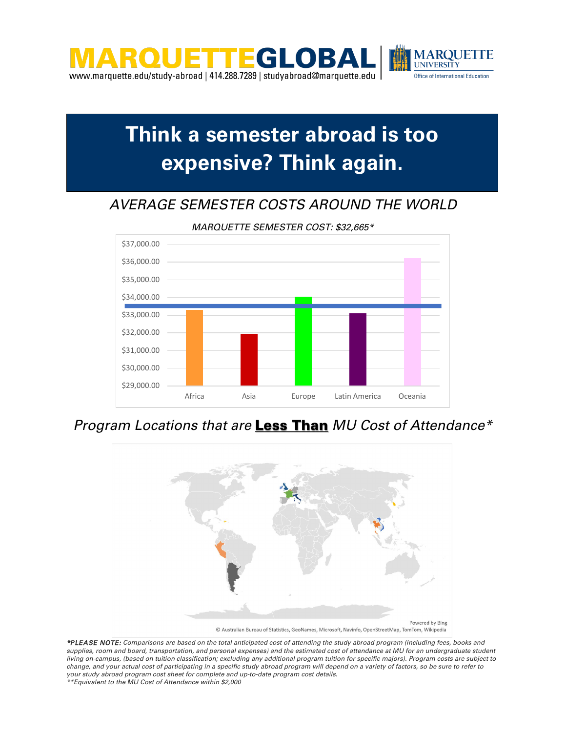

## **Think a semester abroad is too expensive? Think again.**

### *AVERAGE SEMESTER COSTS AROUND THE WORLD*



*MARQUETTE SEMESTER COST: \$32,665\**

### *Program Locations that are* Less Than *MU Cost of Attendance\**



*\*PLEASE NOTE: Comparisons are based on the total anticipated cost of attending the study abroad program (including fees, books and supplies, room and board, transportation, and personal expenses) and the estimated cost of attendance at MU for an undergraduate student living on-campus, (based on tuition classification; excluding any additional program tuition for specific majors). Program costs are subject to change, and your actual cost of participating in a specific study abroad program will depend on a variety of factors, so be sure to refer to your study abroad program cost sheet for complete and up-to-date program cost details. \*\*Equivalent to the MU Cost of Attendance within \$2,000*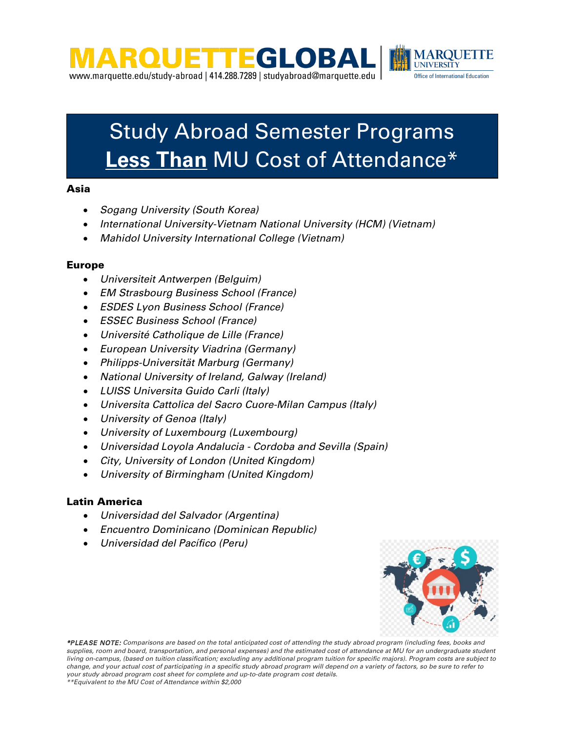



#### Asia

- *Sogang University (South Korea)*
- *International University-Vietnam National University (HCM) (Vietnam)*
- *Mahidol University International College (Vietnam)*

#### Europe

- *Universiteit Antwerpen (Belguim)*
- *EM Strasbourg Business School (France)*
- *ESDES Lyon Business School (France)*
- *ESSEC Business School (France)*
- *Université Catholique de Lille (France)*
- *European University Viadrina (Germany)*
- *Philipps-Universität Marburg (Germany)*
- *National University of Ireland, Galway (Ireland)*
- *LUISS Universita Guido Carli (Italy)*
- *Universita Cattolica del Sacro Cuore-Milan Campus (Italy)*
- *University of Genoa (Italy)*
- *University of Luxembourg (Luxembourg)*
- *Universidad Loyola Andalucia - Cordoba and Sevilla (Spain)*
- *City, University of London (United Kingdom)*
- *University of Birmingham (United Kingdom)*

#### Latin America

- *Universidad del Salvador (Argentina)*
- *Encuentro Dominicano (Dominican Republic)*
- *Universidad del Pacífico (Peru)*



*\*PLEASE NOTE: Comparisons are based on the total anticipated cost of attending the study abroad program (including fees, books and supplies, room and board, transportation, and personal expenses) and the estimated cost of attendance at MU for an undergraduate student living on-campus, (based on tuition classification; excluding any additional program tuition for specific majors). Program costs are subject to change, and your actual cost of participating in a specific study abroad program will depend on a variety of factors, so be sure to refer to your study abroad program cost sheet for complete and up-to-date program cost details.*

*\*\*Equivalent to the MU Cost of Attendance within \$2,000*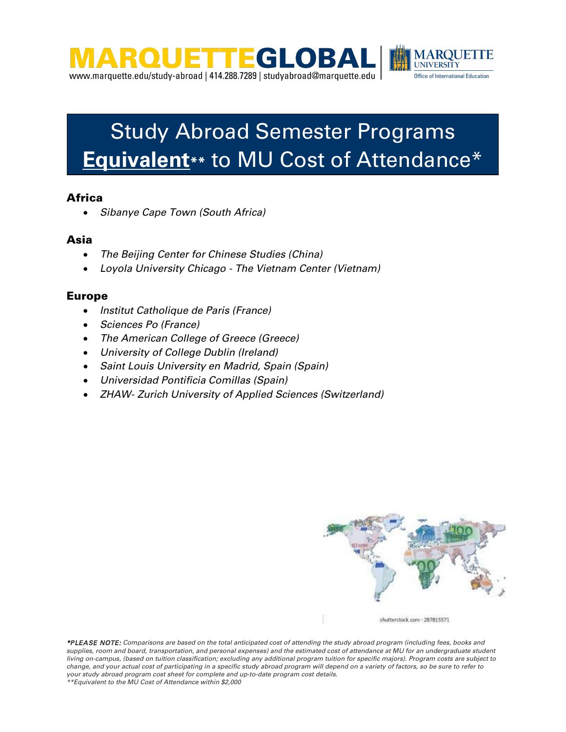



# Study Abroad Semester Programs **Equivalent\*\*** to MU Cost of Attendance\*

#### **Africa**

• *Sibanye Cape Town (South Africa)*

#### Asia

- *The Beijing Center for Chinese Studies (China)*
- *Loyola University Chicago - The Vietnam Center (Vietnam)*

#### Europe

- *Institut Catholique de Paris (France)*
- *Sciences Po (France)*
- *The American College of Greece (Greece)*
- *University of College Dublin (Ireland)*
- *Saint Louis University en Madrid, Spain (Spain)*
- *Universidad Pontificia Comillas (Spain)*
- *ZHAW- Zurich University of Applied Sciences (Switzerland)*



shutterstock.com - 287815571

*\*PLEASE NOTE: Comparisons are based on the total anticipated cost of attending the study abroad program (including fees, books and supplies, room and board, transportation, and personal expenses) and the estimated cost of attendance at MU for an undergraduate student living on-campus, (based on tuition classification; excluding any additional program tuition for specific majors). Program costs are subject to change, and your actual cost of participating in a specific study abroad program will depend on a variety of factors, so be sure to refer to your study abroad program cost sheet for complete and up-to-date program cost details.*

*\*\*Equivalent to the MU Cost of Attendance within \$2,000*